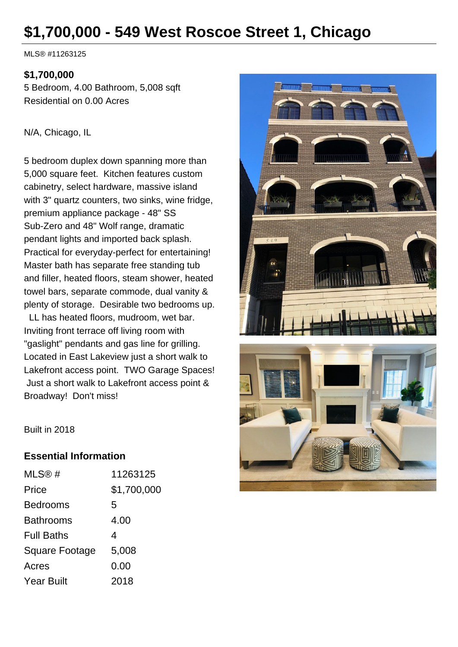# **\$1,700,000 - 549 West Roscoe Street 1, Chicago**

MLS® #11263125

#### **\$1,700,000**

5 Bedroom, 4.00 Bathroom, 5,008 sqft Residential on 0.00 Acres

#### N/A, Chicago, IL

5 bedroom duplex down spanning more than 5,000 square feet. Kitchen features custom cabinetry, select hardware, massive island with 3" quartz counters, two sinks, wine fridge, premium appliance package - 48" SS Sub-Zero and 48" Wolf range, dramatic pendant lights and imported back splash. Practical for everyday-perfect for entertaining! Master bath has separate free standing tub and filler, heated floors, steam shower, heated towel bars, separate commode, dual vanity & plenty of storage. Desirable two bedrooms up.

 LL has heated floors, mudroom, wet bar. Inviting front terrace off living room with "gaslight" pendants and gas line for grilling. Located in East Lakeview just a short walk to Lakefront access point. TWO Garage Spaces! Just a short walk to Lakefront access point & Broadway! Don't miss!



Built in 2018

#### **Essential Information**

| MLS@#             | 11263125    |
|-------------------|-------------|
| Price             | \$1,700,000 |
| Bedrooms          | 5           |
| Bathrooms         | 4.00        |
| <b>Full Baths</b> | 4           |
| Square Footage    | 5,008       |
| Acres             | 0.00        |
| Year Built        | 2018        |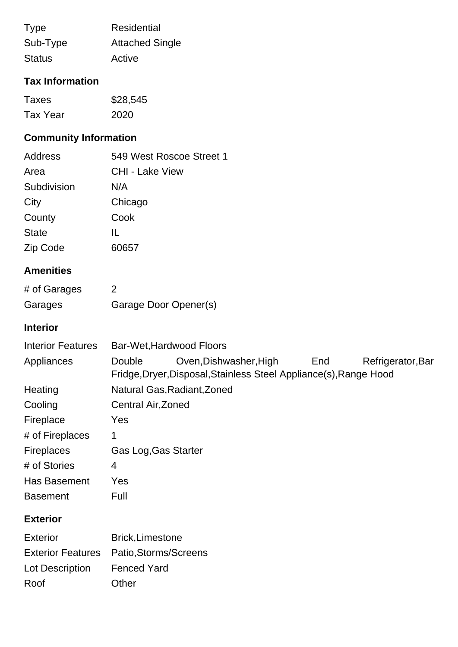| <b>Type</b>   | Residential            |
|---------------|------------------------|
| Sub-Type      | <b>Attached Single</b> |
| <b>Status</b> | Active                 |

# **Tax Information**

| Taxes           | \$28,545 |
|-----------------|----------|
| <b>Tax Year</b> | 2020     |

# **Community Information**

Roof Other

| Address      | 549 West Roscoe Street 1 |
|--------------|--------------------------|
| Area         | <b>CHI - Lake View</b>   |
| Subdivision  | N/A                      |
| City         | Chicago                  |
| County       | Cook                     |
| <b>State</b> | IL                       |
| Zip Code     | 60657                    |

# **Amenities**

| # of Garages |                       |
|--------------|-----------------------|
| Garages      | Garage Door Opener(s) |

## **Interior**

| <b>Interior Features</b> | Bar-Wet, Hardwood Floors                                          |                        |     |                   |
|--------------------------|-------------------------------------------------------------------|------------------------|-----|-------------------|
| Appliances               | Double                                                            | Oven, Dishwasher, High | End | Refrigerator, Bar |
|                          | Fridge, Dryer, Disposal, Stainless Steel Appliance(s), Range Hood |                        |     |                   |
| Heating                  | Natural Gas, Radiant, Zoned                                       |                        |     |                   |
| Cooling                  | Central Air, Zoned                                                |                        |     |                   |
| Fireplace                | Yes                                                               |                        |     |                   |
| # of Fireplaces          | 1                                                                 |                        |     |                   |
| <b>Fireplaces</b>        | Gas Log, Gas Starter                                              |                        |     |                   |
| # of Stories             | 4                                                                 |                        |     |                   |
| Has Basement             | Yes                                                               |                        |     |                   |
| <b>Basement</b>          | Full                                                              |                        |     |                   |
| <b>Exterior</b>          |                                                                   |                        |     |                   |
| <b>Exterior</b>          | <b>Brick, Limestone</b>                                           |                        |     |                   |
| <b>Exterior Features</b> | Patio, Storms/Screens                                             |                        |     |                   |
| Lot Description          | <b>Fenced Yard</b>                                                |                        |     |                   |